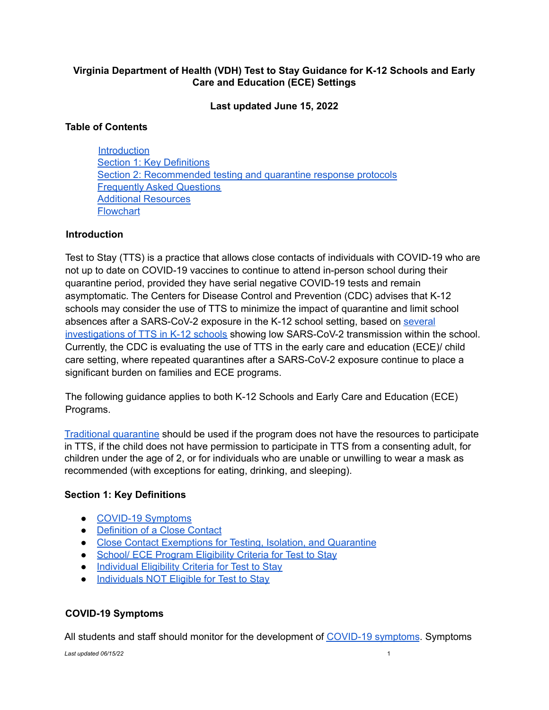# **Virginia Department of Health (VDH) Test to Stay Guidance for K-12 Schools and Early Care and Education (ECE) Settings**

**Last updated June 15, 2022**

## **Table of Contents**

**Introduction** Section 1: Key Definitions Section 2: Recommended testing and quarantine response protocols Frequently Asked Questions Additional Resources **Flowchart** 

## **Introduction**

Test to Stay (TTS) is a practice that allows close contacts of individuals with COVID-19 who are not up to date on COVID-19 vaccines to continue to attend in-person school during their quarantine period, provided they have serial negative COVID-19 tests and remain asymptomatic. The Centers for Disease Control and Prevention (CDC) advises that K-12 schools may consider the use of TTS to minimize the impact of quarantine and limit school absences after a SARS-CoV-2 exposure in the K-12 school setting, based on several investigations of TTS in K-12 schools showing low SARS-CoV-2 transmission within the school. Currently, the CDC is evaluating the use of TTS in the early care and education (ECE)/ child care setting, where repeated quarantines after a SARS-CoV-2 exposure continue to place a significant burden on families and ECE programs.

The following guidance applies to both K-12 Schools and Early Care and Education (ECE) Programs.

Traditional quarantine should be used if the program does not have the resources to participate in TTS, if the child does not have permission to participate in TTS from a consenting adult, for children under the age of 2, or for individuals who are unable or unwilling to wear a mask as recommended (with exceptions for eating, drinking, and sleeping).

## **Section 1: Key Definitions**

- COVID-19 Symptoms
- **Definition of a Close Contact**
- Close Contact Exemptions for Testing, Isolation, and Quarantine
- School/ ECE Program Eligibility Criteria for Test to Stay
- Individual Eligibility Criteria for Test to Stay
- Individuals NOT Eligible for Test to Stay

## **COVID-19 Symptoms**

All students and staff should monitor for the development of COVID-19 symptoms. Symptoms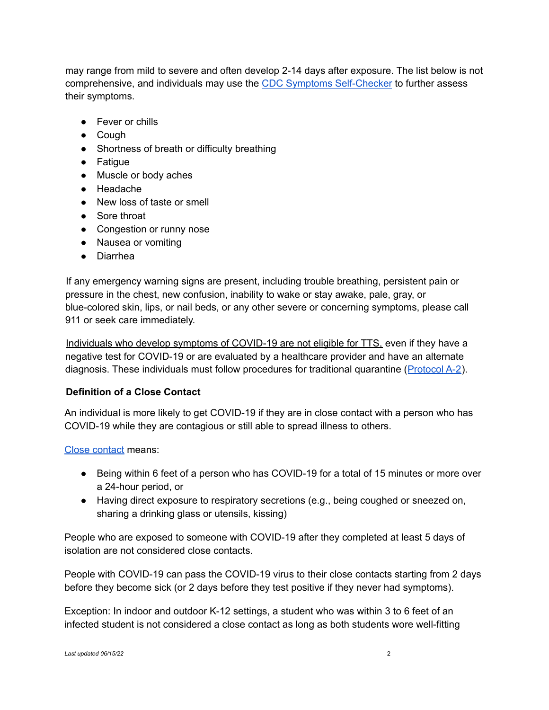may range from mild to severe and often develop 2-14 days after exposure. The list below is not comprehensive, and individuals may use the CDC Symptoms Self-Checker to further assess their symptoms.

- Fever or chills
- Cough
- Shortness of breath or difficulty breathing
- Fatigue
- Muscle or body aches
- Headache
- New loss of taste or smell
- Sore throat
- Congestion or runny nose
- Nausea or vomiting
- Diarrhea

If any emergency warning signs are present, including trouble breathing, persistent pain or pressure in the chest, new confusion, inability to wake or stay awake, pale, gray, or blue-colored skin, lips, or nail beds, or any other severe or concerning symptoms, please call 911 or seek care immediately.

Individuals who develop symptoms of COVID-19 are not eligible for TTS, even if they have a negative test for COVID-19 or are evaluated by a healthcare provider and have an alternate diagnosis. These individuals must follow procedures for traditional quarantine (Protocol A-2).

# **Definition of a Close Contact**

An individual is more likely to get COVID-19 if they are in close contact with a person who has COVID-19 while they are contagious or still able to spread illness to others.

Close contact means:

- Being within 6 feet of a person who has COVID-19 for a total of 15 minutes or more over a 24-hour period, or
- Having direct exposure to respiratory secretions (e.g., being coughed or sneezed on, sharing a drinking glass or utensils, kissing)

People who are exposed to someone with COVID-19 after they completed at least 5 days of isolation are not considered close contacts.

People with COVID-19 can pass the COVID-19 virus to their close contacts starting from 2 days before they become sick (or 2 days before they test positive if they never had symptoms).

Exception: In indoor and outdoor K-12 settings, a student who was within 3 to 6 feet of an infected student is not considered a close contact as long as both students wore well-fitting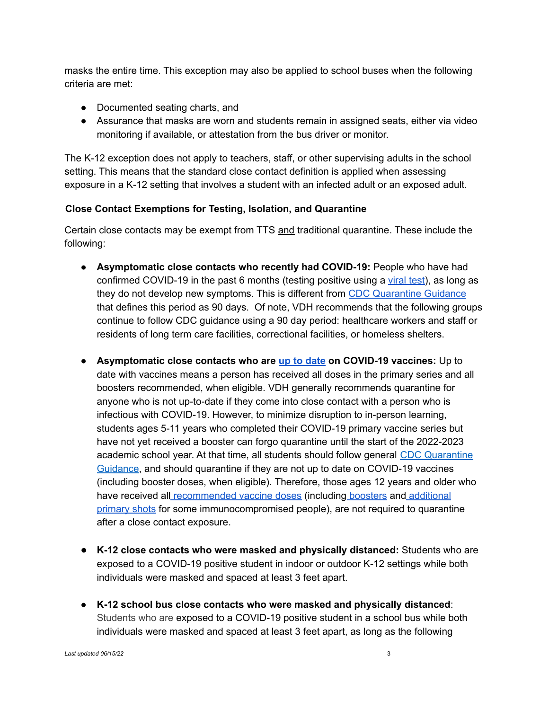masks the entire time. This exception may also be applied to school buses when the following criteria are met:

- Documented seating charts, and
- Assurance that masks are worn and students remain in assigned seats, either via video monitoring if available, or attestation from the bus driver or monitor.

The K-12 exception does not apply to teachers, staff, or other supervising adults in the school setting. This means that the standard close contact definition is applied when assessing exposure in a K-12 setting that involves a student with an infected adult or an exposed adult.

# **Close Contact Exemptions for Testing, Isolation, and Quarantine**

Certain close contacts may be exempt from TTS and traditional quarantine. These include the following:

- **Asymptomatic close contacts who recently had COVID-19:** People who have had confirmed COVID-19 in the past 6 months (testing positive using a viral test), as long as they do not develop new symptoms. This is different from CDC Quarantine Guidance that defines this period as 90 days. Of note, VDH recommends that the following groups continue to follow CDC guidance using a 90 day period: healthcare workers and staff or residents of long term care facilities, correctional facilities, or homeless shelters.
- **Asymptomatic close contacts who are up to date on COVID-19 vaccines:** Up to date with vaccines means a person has received all doses in the primary series and all boosters recommended, when eligible. VDH generally recommends quarantine for anyone who is not up-to-date if they come into close contact with a person who is infectious with COVID-19. However, to minimize disruption to in-person learning, students ages 5-11 years who completed their COVID-19 primary vaccine series but have not yet received a booster can forgo quarantine until the start of the 2022-2023 academic school year. At that time, all students should follow general CDC Quarantine Guidance, and should quarantine if they are not up to date on COVID-19 vaccines (including booster doses, when eligible). Therefore, those ages 12 years and older who have received all recommended vaccine doses (including boosters and additional primary shots for some immunocompromised people), are not required to quarantine after a close contact exposure.
- **K-12 close contacts who were masked and physically distanced:** Students who are exposed to a COVID-19 positive student in indoor or outdoor K-12 settings while both individuals were masked and spaced at least 3 feet apart.
- **K-12 school bus close contacts who were masked and physically distanced**: Students who are exposed to a COVID-19 positive student in a school bus while both individuals were masked and spaced at least 3 feet apart, as long as the following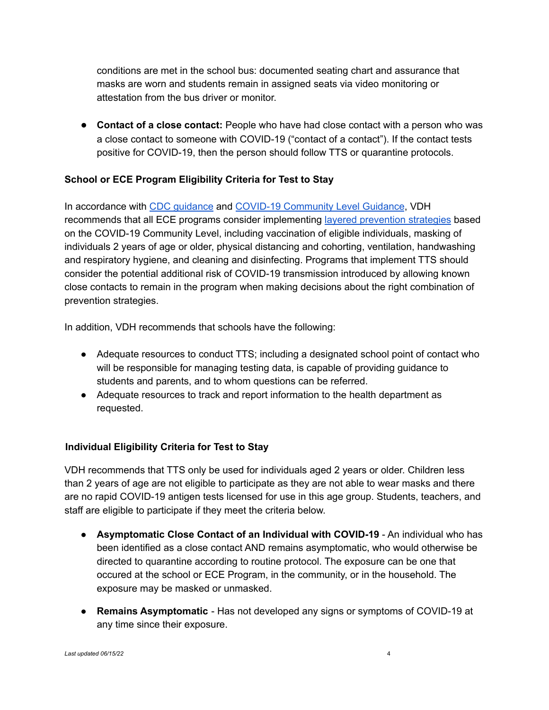conditions are met in the school bus: documented seating chart and assurance that masks are worn and students remain in assigned seats via video monitoring or attestation from the bus driver or monitor.

● **Contact of a close contact:** People who have had close contact with a person who was a close contact to someone with COVID-19 ("contact of a contact"). If the contact tests positive for COVID-19, then the person should follow TTS or quarantine protocols.

# **School or ECE Program Eligibility Criteria for Test to Stay**

In accordance with CDC guidance and COVID-19 Community Level Guidance, VDH recommends that all ECE programs consider implementing layered prevention strategies based on the COVID-19 Community Level, including vaccination of eligible individuals, masking of individuals 2 years of age or older, physical distancing and cohorting, ventilation, handwashing and respiratory hygiene, and cleaning and disinfecting. Programs that implement TTS should consider the potential additional risk of COVID-19 transmission introduced by allowing known close contacts to remain in the program when making decisions about the right combination of prevention strategies.

In addition, VDH recommends that schools have the following:

- Adequate resources to conduct TTS; including a designated school point of contact who will be responsible for managing testing data, is capable of providing guidance to students and parents, and to whom questions can be referred.
- Adequate resources to track and report information to the health department as requested.

# **Individual Eligibility Criteria for Test to Stay**

VDH recommends that TTS only be used for individuals aged 2 years or older. Children less than 2 years of age are not eligible to participate as they are not able to wear masks and there are no rapid COVID-19 antigen tests licensed for use in this age group. Students, teachers, and staff are eligible to participate if they meet the criteria below.

- **● Asymptomatic Close Contact of an Individual with COVID-19** An individual who has been identified as a close contact AND remains asymptomatic, who would otherwise be directed to quarantine according to routine protocol. The exposure can be one that occured at the school or ECE Program, in the community, or in the household. The exposure may be masked or unmasked.
- **● Remains Asymptomatic** Has not developed any signs or symptoms of COVID-19 at any time since their exposure.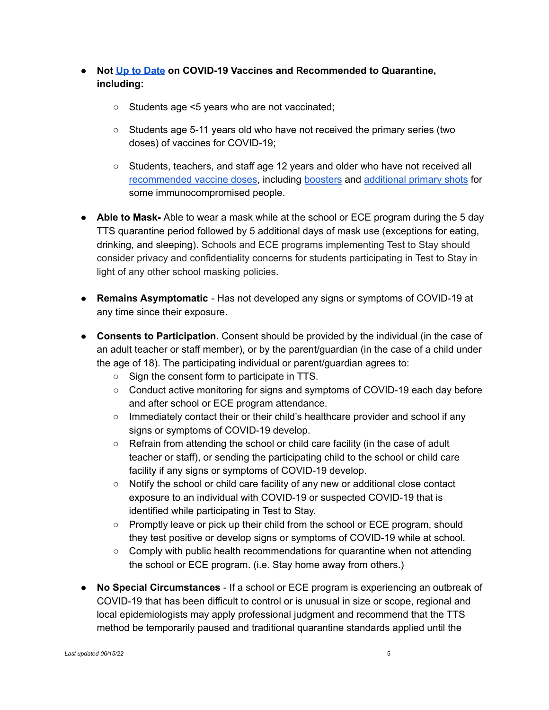- **● Not Up to Date on COVID-19 Vaccines and Recommended to Quarantine, including:**
	- **○** Students age <5 years who are not vaccinated;
	- **○** Students age 5-11 years old who have not received the primary series (two doses) of vaccines for COVID-19;
	- **○** Students, teachers, and staff age 12 years and older who have not received all recommended vaccine doses, including boosters and additional primary shots for some immunocompromised people.
- **Able to Mask-** Able to wear a mask while at the school or ECE program during the 5 day TTS quarantine period followed by 5 additional days of mask use (exceptions for eating, drinking, and sleeping). Schools and ECE programs implementing Test to Stay should consider privacy and confidentiality concerns for students participating in Test to Stay in light of any other school masking policies.
- **Remains Asymptomatic** Has not developed any signs or symptoms of COVID-19 at any time since their exposure.
- **Consents to Participation.** Consent should be provided by the individual (in the case of an adult teacher or staff member), or by the parent/guardian (in the case of a child under the age of 18). The participating individual or parent/guardian agrees to:
	- Sign the consent form to participate in TTS.
	- Conduct active monitoring for signs and symptoms of COVID-19 each day before and after school or ECE program attendance.
	- Immediately contact their or their child's healthcare provider and school if any signs or symptoms of COVID-19 develop.
	- Refrain from attending the school or child care facility (in the case of adult teacher or staff), or sending the participating child to the school or child care facility if any signs or symptoms of COVID-19 develop.
	- Notify the school or child care facility of any new or additional close contact exposure to an individual with COVID-19 or suspected COVID-19 that is identified while participating in Test to Stay.
	- Promptly leave or pick up their child from the school or ECE program, should they test positive or develop signs or symptoms of COVID-19 while at school.
	- $\circ$  Comply with public health recommendations for quarantine when not attending the school or ECE program. (i.e. Stay home away from others.)
- **No Special Circumstances** If a school or ECE program is experiencing an outbreak of COVID-19 that has been difficult to control or is unusual in size or scope, regional and local epidemiologists may apply professional judgment and recommend that the TTS method be temporarily paused and traditional quarantine standards applied until the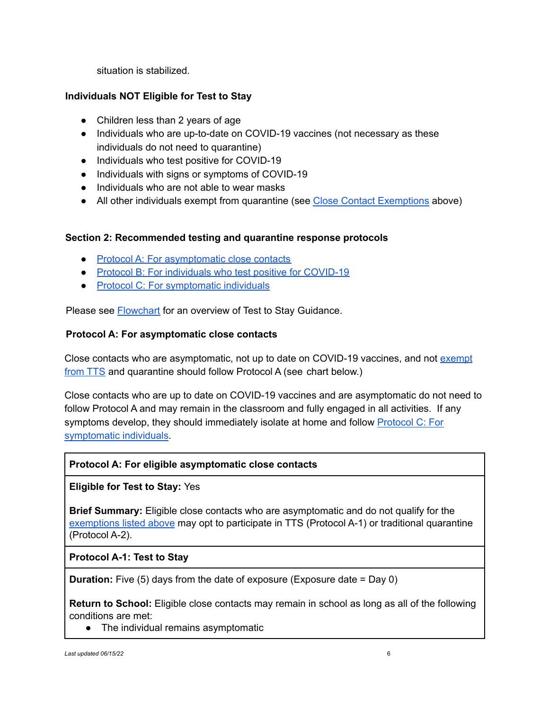situation is stabilized.

# **Individuals NOT Eligible for Test to Stay**

- Children less than 2 years of age
- Individuals who are up-to-date on COVID-19 vaccines (not necessary as these individuals do not need to quarantine)
- Individuals who test positive for COVID-19
- **●** Individuals with signs or symptoms of COVID-19
- **●** Individuals who are not able to wear masks
- All other individuals exempt from quarantine (see Close Contact Exemptions above)

## **Section 2: Recommended testing and quarantine response protocols**

- Protocol A: For asymptomatic close contacts
- Protocol B: For individuals who test positive for COVID-19
- Protocol C: For symptomatic individuals

Please see **Flowchart** for an overview of Test to Stay Guidance.

#### **Protocol A: For asymptomatic close contacts**

Close contacts who are asymptomatic, not up to date on COVID-19 vaccines, and not exempt from TTS and quarantine should follow Protocol A (see chart below.)

Close contacts who are up to date on COVID-19 vaccines and are asymptomatic do not need to follow Protocol A and may remain in the classroom and fully engaged in all activities. If any symptoms develop, they should immediately isolate at home and follow Protocol C: For symptomatic individuals.

## **Protocol A: For eligible asymptomatic close contacts**

## **Eligible for Test to Stay:** Yes

**Brief Summary:** Eligible close contacts who are asymptomatic and do not qualify for the exemptions listed above may opt to participate in TTS (Protocol A-1) or traditional quarantine (Protocol A-2).

## **Protocol A-1: Test to Stay**

**Duration:** Five (5) days from the date of exposure (Exposure date = Day 0)

**Return to School:** Eligible close contacts may remain in school as long as all of the following conditions are met:

• The individual remains asymptomatic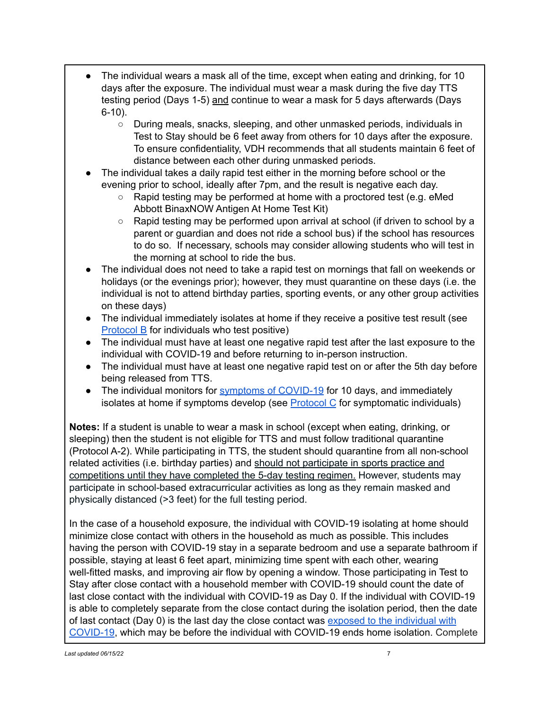- The individual wears a mask all of the time, except when eating and drinking, for 10 days after the exposure. The individual must wear a mask during the five day TTS testing period (Days 1-5) and continue to wear a mask for 5 days afterwards (Days 6-10).
	- During meals, snacks, sleeping, and other unmasked periods, individuals in Test to Stay should be 6 feet away from others for 10 days after the exposure. To ensure confidentiality, VDH recommends that all students maintain 6 feet of distance between each other during unmasked periods.
- The individual takes a daily rapid test either in the morning before school or the evening prior to school, ideally after 7pm, and the result is negative each day.
	- Rapid testing may be performed at home with a proctored test (e.g. eMed Abbott BinaxNOW Antigen At Home Test Kit)
	- Rapid testing may be performed upon arrival at school (if driven to school by a parent or guardian and does not ride a school bus) if the school has resources to do so. If necessary, schools may consider allowing students who will test in the morning at school to ride the bus.
- The individual does not need to take a rapid test on mornings that fall on weekends or holidays (or the evenings prior); however, they must quarantine on these days (i.e. the individual is not to attend birthday parties, sporting events, or any other group activities on these days)
- The individual immediately isolates at home if they receive a positive test result (see Protocol B for individuals who test positive)
- The individual must have at least one negative rapid test after the last exposure to the individual with COVID-19 and before returning to in-person instruction.
- The individual must have at least one negative rapid test on or after the 5th day before being released from TTS.
- The individual monitors for symptoms of COVID-19 for 10 days, and immediately isolates at home if symptoms develop (see  $Protocol C$  for symptomatic individuals)</u>

**Notes:** If a student is unable to wear a mask in school (except when eating, drinking, or sleeping) then the student is not eligible for TTS and must follow traditional quarantine (Protocol A-2). While participating in TTS, the student should quarantine from all non-school related activities (i.e. birthday parties) and should not participate in sports practice and competitions until they have completed the 5-day testing regimen. However, students may participate in school-based extracurricular activities as long as they remain masked and physically distanced (>3 feet) for the full testing period.

In the case of a household exposure, the individual with COVID-19 isolating at home should minimize close contact with others in the household as much as possible. This includes having the person with COVID-19 stay in a separate bedroom and use a separate bathroom if possible, staying at least 6 feet apart, minimizing time spent with each other, wearing well-fitted masks, and improving air flow by opening a window. Those participating in Test to Stay after close contact with a household member with COVID-19 should count the date of last close contact with the individual with COVID-19 as Day 0. If the individual with COVID-19 is able to completely separate from the close contact during the isolation period, then the date of last contact (Day 0) is the last day the close contact was exposed to the individual with COVID-19, which may be before the individual with COVID-19 ends home isolation. Complete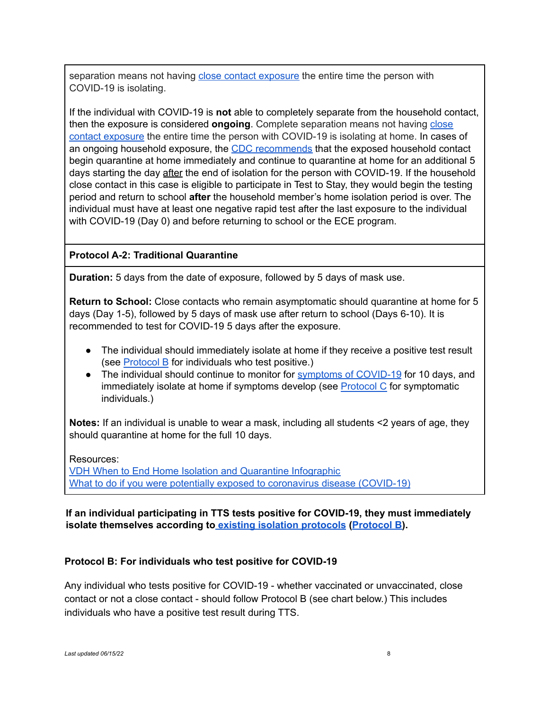separation means not having close contact exposure the entire time the person with COVID-19 is isolating.

If the individual with COVID-19 is **not** able to completely separate from the household contact, then the exposure is considered **ongoing**. Complete separation means not having close contact exposure the entire time the person with COVID-19 is isolating at home. In cases of an ongoing household exposure, the CDC recommends that the exposed household contact begin quarantine at home immediately and continue to quarantine at home for an additional 5 days starting the day after the end of isolation for the person with COVID-19. If the household close contact in this case is eligible to participate in Test to Stay, they would begin the testing period and return to school **after** the household member's home isolation period is over. The individual must have at least one negative rapid test after the last exposure to the individual with COVID-19 (Day 0) and before returning to school or the ECE program.

# **Protocol A-2: Traditional Quarantine**

**Duration:** 5 days from the date of exposure, followed by 5 days of mask use.

**Return to School:** Close contacts who remain asymptomatic should quarantine at home for 5 days (Day 1-5), followed by 5 days of mask use after return to school (Days 6-10). It is recommended to test for COVID-19 5 days after the exposure.

- The individual should immediately isolate at home if they receive a positive test result (see Protocol B for individuals who test positive.)
- The individual should continue to monitor for symptoms of COVID-19 for 10 days, and immediately isolate at home if symptoms develop (see Protocol C for symptomatic individuals.)

**Notes:** If an individual is unable to wear a mask, including all students <2 years of age, they should quarantine at home for the full 10 days.

Resources:

VDH When to End Home Isolation and Quarantine Infographic What to do if you were potentially exposed to coronavirus disease (COVID-19)

# **If an individual participating in TTS tests positive for COVID-19, they must immediately isolate themselves according to existing isolation protocols (Protocol B).**

## **Protocol B: For individuals who test positive for COVID-19**

Any individual who tests positive for COVID-19 - whether vaccinated or unvaccinated, close contact or not a close contact - should follow Protocol B (see chart below.) This includes individuals who have a positive test result during TTS.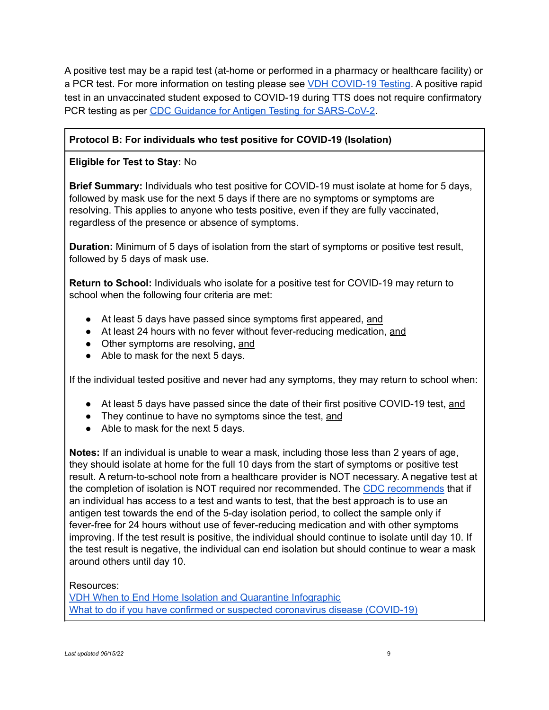A positive test may be a rapid test (at-home or performed in a pharmacy or healthcare facility) or a PCR test. For more information on testing please see VDH COVID-19 Testing. A positive rapid test in an unvaccinated student exposed to COVID-19 during TTS does not require confirmatory PCR testing as per CDC Guidance for Antigen Testing for SARS-CoV-2.

# **Protocol B: For individuals who test positive for COVID-19 (Isolation)**

# **Eligible for Test to Stay:** No

**Brief Summary:** Individuals who test positive for COVID-19 must isolate at home for 5 days, followed by mask use for the next 5 days if there are no symptoms or symptoms are resolving. This applies to anyone who tests positive, even if they are fully vaccinated, regardless of the presence or absence of symptoms.

**Duration:** Minimum of 5 days of isolation from the start of symptoms or positive test result, followed by 5 days of mask use.

**Return to School:** Individuals who isolate for a positive test for COVID-19 may return to school when the following four criteria are met:

- At least 5 days have passed since symptoms first appeared, and
- At least 24 hours with no fever without fever-reducing medication, and
- Other symptoms are resolving, and
- Able to mask for the next 5 days.

If the individual tested positive and never had any symptoms, they may return to school when:

- At least 5 days have passed since the date of their first positive COVID-19 test, and
- They continue to have no symptoms since the test, and
- Able to mask for the next 5 days.

**Notes:** If an individual is unable to wear a mask, including those less than 2 years of age, they should isolate at home for the full 10 days from the start of symptoms or positive test result. A return-to-school note from a healthcare provider is NOT necessary. A negative test at the completion of isolation is NOT required nor recommended. The CDC recommends that if an individual has access to a test and wants to test, that the best approach is to use an antigen test towards the end of the 5-day isolation period, to collect the sample only if fever-free for 24 hours without use of fever-reducing medication and with other symptoms improving. If the test result is positive, the individual should continue to isolate until day 10. If the test result is negative, the individual can end isolation but should continue to wear a mask around others until day 10.

Resources:

VDH When to End Home Isolation and Quarantine Infographic What to do if you have confirmed or suspected coronavirus disease (COVID-19)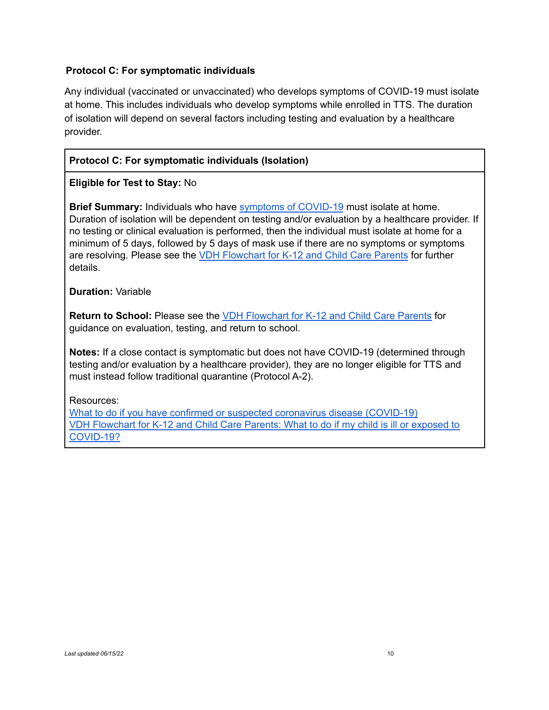# **Protocol C: For symptomatic individuals**

Any individual (vaccinated or unvaccinated) who develops symptoms of COVID-19 must isolate at home. This includes individuals who develop symptoms while enrolled in TTS. The duration of isolation will depend on several factors including testing and evaluation by a healthcare provider.

# **Protocol C: For symptomatic individuals (Isolation)**

# **Eligible for Test to Stay:** No

**Brief Summary:** Individuals who have symptoms of COVID-19 must isolate at home. Duration of isolation will be dependent on testing and/or evaluation by a healthcare provider. If no testing or clinical evaluation is performed, then the individual must isolate at home for a minimum of 5 days, followed by 5 days of mask use if there are no symptoms or symptoms are resolving. Please see the VDH Flowchart for K-12 and Child Care Parents for further details.

**Duration:** Variable

**Return to School:** Please see the VDH Flowchart for K-12 and Child Care Parents for guidance on evaluation, testing, and return to school.

**Notes:** If a close contact is symptomatic but does not have COVID-19 (determined through testing and/or evaluation by a healthcare provider), they are no longer eligible for TTS and must instead follow traditional quarantine (Protocol A-2).

Resources:

What to do if you have confirmed or suspected coronavirus disease (COVID-19) VDH Flowchart for K-12 and Child Care Parents: What to do if my child is ill or exposed to COVID-19?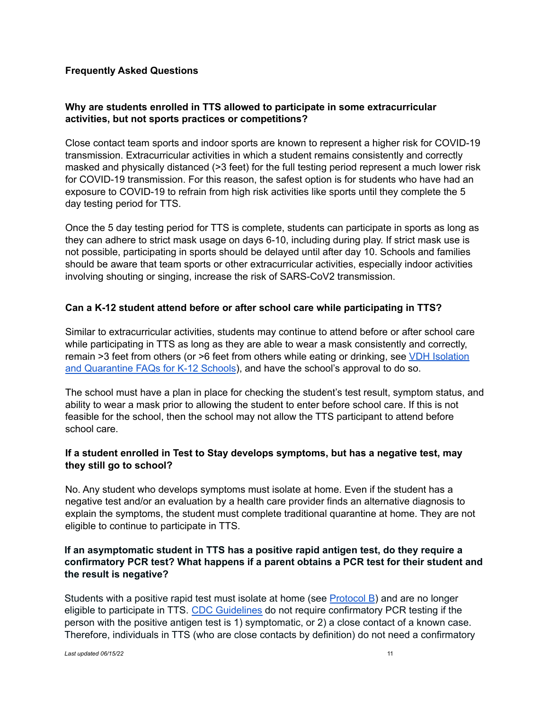#### **Frequently Asked Questions**

## **Why are students enrolled in TTS allowed to participate in some extracurricular activities, but not sports practices or competitions?**

Close contact team sports and indoor sports are known to represent a higher risk for COVID-19 transmission. Extracurricular activities in which a student remains consistently and correctly masked and physically distanced (>3 feet) for the full testing period represent a much lower risk for COVID-19 transmission. For this reason, the safest option is for students who have had an exposure to COVID-19 to refrain from high risk activities like sports until they complete the 5 day testing period for TTS.

Once the 5 day testing period for TTS is complete, students can participate in sports as long as they can adhere to strict mask usage on days 6-10, including during play. If strict mask use is not possible, participating in sports should be delayed until after day 10. Schools and families should be aware that team sports or other extracurricular activities, especially indoor activities involving shouting or singing, increase the risk of SARS-CoV2 transmission.

## **Can a K-12 student attend before or after school care while participating in TTS?**

Similar to extracurricular activities, students may continue to attend before or after school care while participating in TTS as long as they are able to wear a mask consistently and correctly, remain >3 feet from others (or >6 feet from others while eating or drinking, see VDH Isolation and Quarantine FAQs for K-12 Schools), and have the school's approval to do so.

The school must have a plan in place for checking the student's test result, symptom status, and ability to wear a mask prior to allowing the student to enter before school care. If this is not feasible for the school, then the school may not allow the TTS participant to attend before school care.

## **If a student enrolled in Test to Stay develops symptoms, but has a negative test, may they still go to school?**

No. Any student who develops symptoms must isolate at home. Even if the student has a negative test and/or an evaluation by a health care provider finds an alternative diagnosis to explain the symptoms, the student must complete traditional quarantine at home. They are not eligible to continue to participate in TTS.

## **If an asymptomatic student in TTS has a positive rapid antigen test, do they require a confirmatory PCR test? What happens if a parent obtains a PCR test for their student and the result is negative?**

Students with a positive rapid test must isolate at home (see Protocol B) and are no longer eligible to participate in TTS. CDC Guidelines do not require confirmatory PCR testing if the person with the positive antigen test is 1) symptomatic, or 2) a close contact of a known case. Therefore, individuals in TTS (who are close contacts by definition) do not need a confirmatory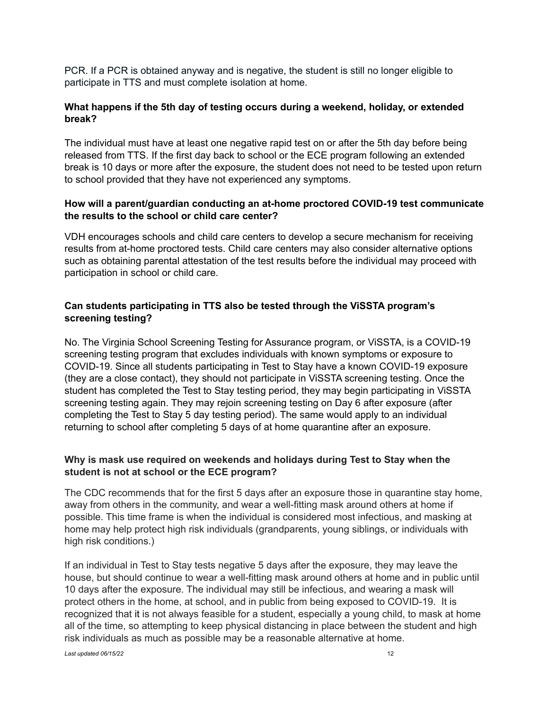PCR. If a PCR is obtained anyway and is negative, the student is still no longer eligible to participate in TTS and must complete isolation at home.

# **What happens if the 5th day of testing occurs during a weekend, holiday, or extended break?**

The individual must have at least one negative rapid test on or after the 5th day before being released from TTS. If the first day back to school or the ECE program following an extended break is 10 days or more after the exposure, the student does not need to be tested upon return to school provided that they have not experienced any symptoms.

## **How will a parent/guardian conducting an at-home proctored COVID-19 test communicate the results to the school or child care center?**

VDH encourages schools and child care centers to develop a secure mechanism for receiving results from at-home proctored tests. Child care centers may also consider alternative options such as obtaining parental attestation of the test results before the individual may proceed with participation in school or child care.

# **Can students participating in TTS also be tested through the ViSSTA program's screening testing?**

No. The Virginia School Screening Testing for Assurance program, or ViSSTA, is a COVID-19 screening testing program that excludes individuals with known symptoms or exposure to COVID-19. Since all students participating in Test to Stay have a known COVID-19 exposure (they are a close contact), they should not participate in ViSSTA screening testing. Once the student has completed the Test to Stay testing period, they may begin participating in ViSSTA screening testing again. They may rejoin screening testing on Day 6 after exposure (after completing the Test to Stay 5 day testing period). The same would apply to an individual returning to school after completing 5 days of at home quarantine after an exposure.

# **Why is mask use required on weekends and holidays during Test to Stay when the student is not at school or the ECE program?**

The CDC recommends that for the first 5 days after an exposure those in quarantine stay home, away from others in the community, and wear a well-fitting mask around others at home if possible. This time frame is when the individual is considered most infectious, and masking at home may help protect high risk individuals (grandparents, young siblings, or individuals with high risk conditions.)

If an individual in Test to Stay tests negative 5 days after the exposure, they may leave the house, but should continue to wear a well-fitting mask around others at home and in public until 10 days after the exposure. The individual may still be infectious, and wearing a mask will protect others in the home, at school, and in public from being exposed to COVID-19. It is recognized that it is not always feasible for a student, especially a young child, to mask at home all of the time, so attempting to keep physical distancing in place between the student and high risk individuals as much as possible may be a reasonable alternative at home.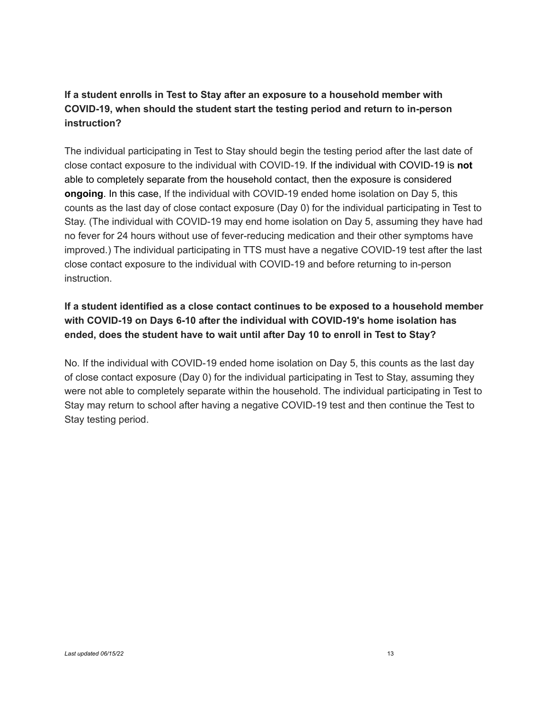# **If a student enrolls in Test to Stay after an exposure to a household member with COVID-19, when should the student start the testing period and return to in-person instruction?**

The individual participating in Test to Stay should begin the testing period after the last date of close contact exposure to the individual with COVID-19. If the individual with COVID-19 is **not** able to completely separate from the household contact, then the exposure is considered **ongoing**. In this case, If the individual with COVID-19 ended home isolation on Day 5, this counts as the last day of close contact exposure (Day 0) for the individual participating in Test to Stay. (The individual with COVID-19 may end home isolation on Day 5, assuming they have had no fever for 24 hours without use of fever-reducing medication and their other symptoms have improved.) The individual participating in TTS must have a negative COVID-19 test after the last close contact exposure to the individual with COVID-19 and before returning to in-person instruction.

# **If a student identified as a close contact continues to be exposed to a household member with COVID-19 on Days 6-10 after the individual with COVID-19's home isolation has ended, does the student have to wait until after Day 10 to enroll in Test to Stay?**

No. If the individual with COVID-19 ended home isolation on Day 5, this counts as the last day of close contact exposure (Day 0) for the individual participating in Test to Stay, assuming they were not able to completely separate within the household. The individual participating in Test to Stay may return to school after having a negative COVID-19 test and then continue the Test to Stay testing period.